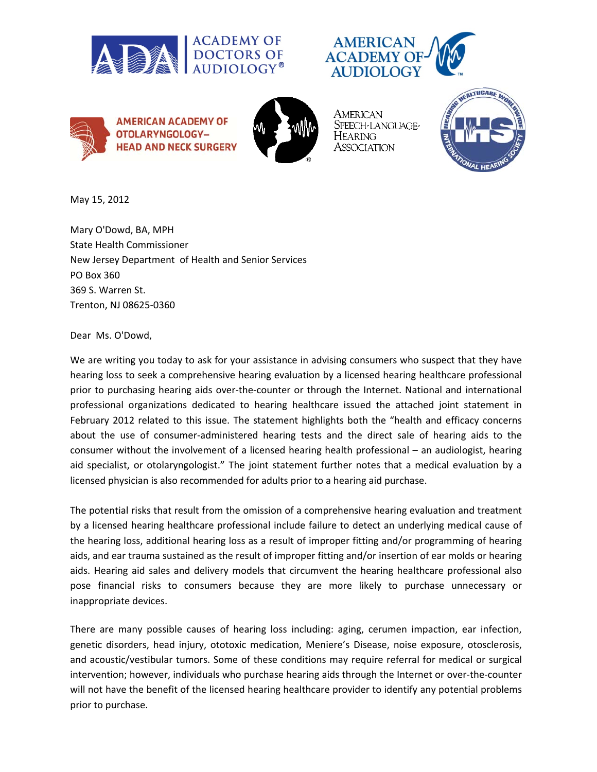







American SPEECH-LANGUAGE-Hearing Association



May 15, 2012

Mary O'Dowd, BA, MPH State Health Commissioner New Jersey Department of Health and Senior Services PO Box 360 369 S. Warren St. Trenton, NJ 08625‐0360

Dear Ms. O'Dowd,

We are writing you today to ask for your assistance in advising consumers who suspect that they have hearing loss to seek a comprehensive hearing evaluation by a licensed hearing healthcare professional prior to purchasing hearing aids over‐the‐counter or through the Internet. National and international professional organizations dedicated to hearing healthcare issued the attached joint statement in February 2012 related to this issue. The statement highlights both the "health and efficacy concerns about the use of consumer‐administered hearing tests and the direct sale of hearing aids to the consumer without the involvement of a licensed hearing health professional – an audiologist, hearing aid specialist, or otolaryngologist." The joint statement further notes that a medical evaluation by a licensed physician is also recommended for adults prior to a hearing aid purchase.

The potential risks that result from the omission of a comprehensive hearing evaluation and treatment by a licensed hearing healthcare professional include failure to detect an underlying medical cause of the hearing loss, additional hearing loss as a result of improper fitting and/or programming of hearing aids, and ear trauma sustained as the result of improper fitting and/or insertion of ear molds or hearing aids. Hearing aid sales and delivery models that circumvent the hearing healthcare professional also pose financial risks to consumers because they are more likely to purchase unnecessary or inappropriate devices.

There are many possible causes of hearing loss including: aging, cerumen impaction, ear infection, genetic disorders, head injury, ototoxic medication, Meniere's Disease, noise exposure, otosclerosis, and acoustic/vestibular tumors. Some of these conditions may require referral for medical or surgical intervention; however, individuals who purchase hearing aids through the Internet or over-the-counter will not have the benefit of the licensed hearing healthcare provider to identify any potential problems prior to purchase.